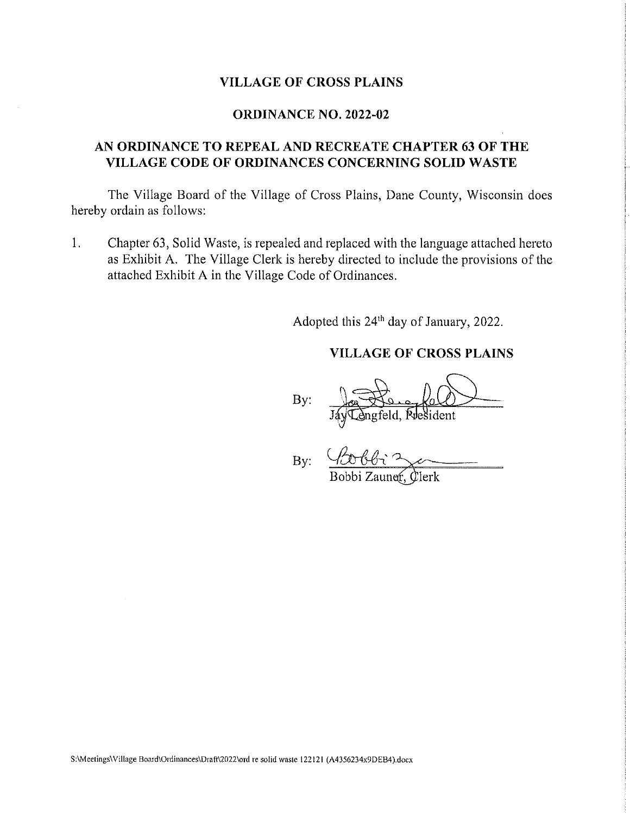#### **VILLAGE OF CROSS PLAINS**

#### **ORDINANCE NO. 2022-02**

### AN ORDINANCE TO REPEAL AND RECREATE CHAPTER 63 OF THE VILLAGE CODE OF ORDINANCES CONCERNING SOLID WASTE

The Village Board of the Village of Cross Plains, Dane County, Wisconsin does hereby ordain as follows:

1. Chapter 63, Solid Waste, is repealed and replaced with the language attached hereto as Exhibit A. The Village Clerk is hereby directed to include the provisions of the attached Exhibit A in the Village Code of Ordinances.

Adopted this 24<sup>th</sup> day of January, 2022.

### **VILLAGE OF CROSS PLAINS**

By:

By:

S:\Meetings\Village Board\Ordinances\Draft\2022\ord re solid waste 122121 (A4356234x9DEB4).docx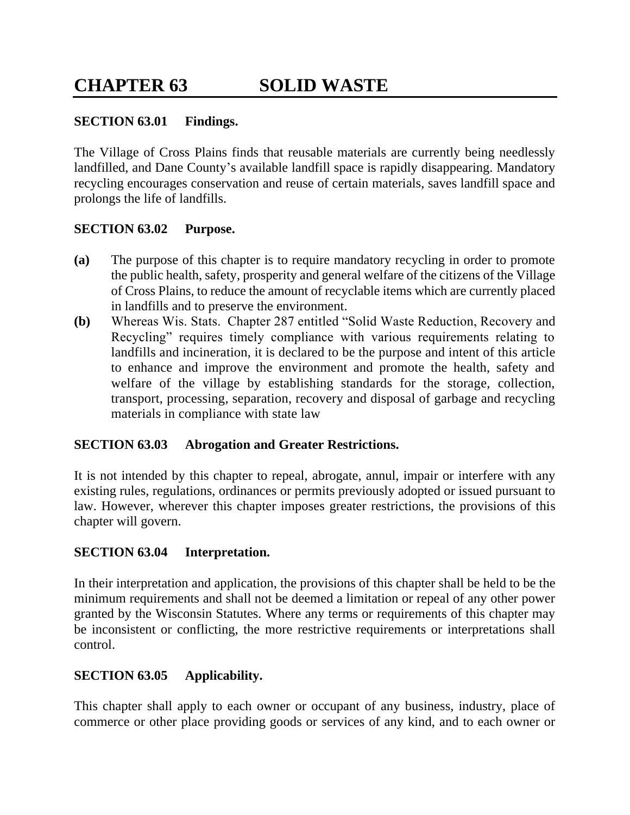### **SECTION 63.01 Findings.**

The Village of Cross Plains finds that reusable materials are currently being needlessly landfilled, and Dane County's available landfill space is rapidly disappearing. Mandatory recycling encourages conservation and reuse of certain materials, saves landfill space and prolongs the life of landfills.

#### **SECTION 63.02 Purpose.**

- **(a)** The purpose of this chapter is to require mandatory recycling in order to promote the public health, safety, prosperity and general welfare of the citizens of the Village of Cross Plains, to reduce the amount of recyclable items which are currently placed in landfills and to preserve the environment.
- **(b)** Whereas Wis. Stats. Chapter 287 entitled "Solid Waste Reduction, Recovery and Recycling" requires timely compliance with various requirements relating to landfills and incineration, it is declared to be the purpose and intent of this article to enhance and improve the environment and promote the health, safety and welfare of the village by establishing standards for the storage, collection, transport, processing, separation, recovery and disposal of garbage and recycling materials in compliance with state law

### **SECTION 63.03 Abrogation and Greater Restrictions.**

It is not intended by this chapter to repeal, abrogate, annul, impair or interfere with any existing rules, regulations, ordinances or permits previously adopted or issued pursuant to law. However, wherever this chapter imposes greater restrictions, the provisions of this chapter will govern.

#### **SECTION 63.04 Interpretation.**

In their interpretation and application, the provisions of this chapter shall be held to be the minimum requirements and shall not be deemed a limitation or repeal of any other power granted by the Wisconsin Statutes. Where any terms or requirements of this chapter may be inconsistent or conflicting, the more restrictive requirements or interpretations shall control.

### **SECTION 63.05 Applicability.**

This chapter shall apply to each owner or occupant of any business, industry, place of commerce or other place providing goods or services of any kind, and to each owner or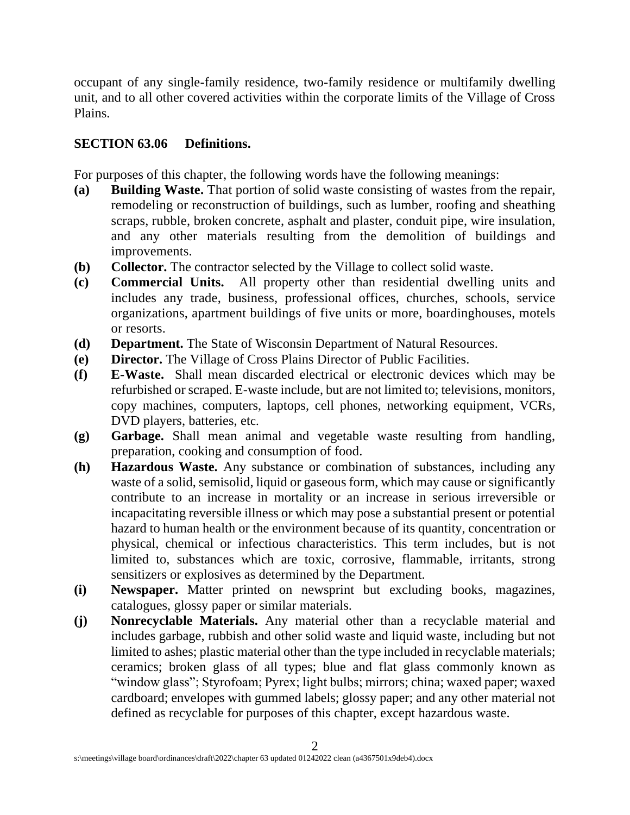occupant of any single-family residence, two-family residence or multifamily dwelling unit, and to all other covered activities within the corporate limits of the Village of Cross Plains.

### **SECTION 63.06 Definitions.**

For purposes of this chapter, the following words have the following meanings:

- **(a) Building Waste.** That portion of solid waste consisting of wastes from the repair, remodeling or reconstruction of buildings, such as lumber, roofing and sheathing scraps, rubble, broken concrete, asphalt and plaster, conduit pipe, wire insulation, and any other materials resulting from the demolition of buildings and improvements.
- **(b) Collector.** The contractor selected by the Village to collect solid waste.
- **(c) Commercial Units.** All property other than residential dwelling units and includes any trade, business, professional offices, churches, schools, service organizations, apartment buildings of five units or more, boardinghouses, motels or resorts.
- **(d) Department.** The State of Wisconsin Department of Natural Resources.
- **(e) Director.** The Village of Cross Plains Director of Public Facilities.
- **(f) E-Waste.** Shall mean discarded electrical or electronic devices which may be refurbished or scraped. E-waste include, but are not limited to; televisions, monitors, copy machines, computers, laptops, cell phones, networking equipment, VCRs, DVD players, batteries, etc.
- **(g) Garbage.** Shall mean animal and vegetable waste resulting from handling, preparation, cooking and consumption of food.
- **(h) Hazardous Waste.** Any substance or combination of substances, including any waste of a solid, semisolid, liquid or gaseous form, which may cause or significantly contribute to an increase in mortality or an increase in serious irreversible or incapacitating reversible illness or which may pose a substantial present or potential hazard to human health or the environment because of its quantity, concentration or physical, chemical or infectious characteristics. This term includes, but is not limited to, substances which are toxic, corrosive, flammable, irritants, strong sensitizers or explosives as determined by the Department.
- **(i) Newspaper.** Matter printed on newsprint but excluding books, magazines, catalogues, glossy paper or similar materials.
- **(j) Nonrecyclable Materials.** Any material other than a recyclable material and includes garbage, rubbish and other solid waste and liquid waste, including but not limited to ashes; plastic material other than the type included in recyclable materials; ceramics; broken glass of all types; blue and flat glass commonly known as "window glass"; Styrofoam; Pyrex; light bulbs; mirrors; china; waxed paper; waxed cardboard; envelopes with gummed labels; glossy paper; and any other material not defined as recyclable for purposes of this chapter, except hazardous waste.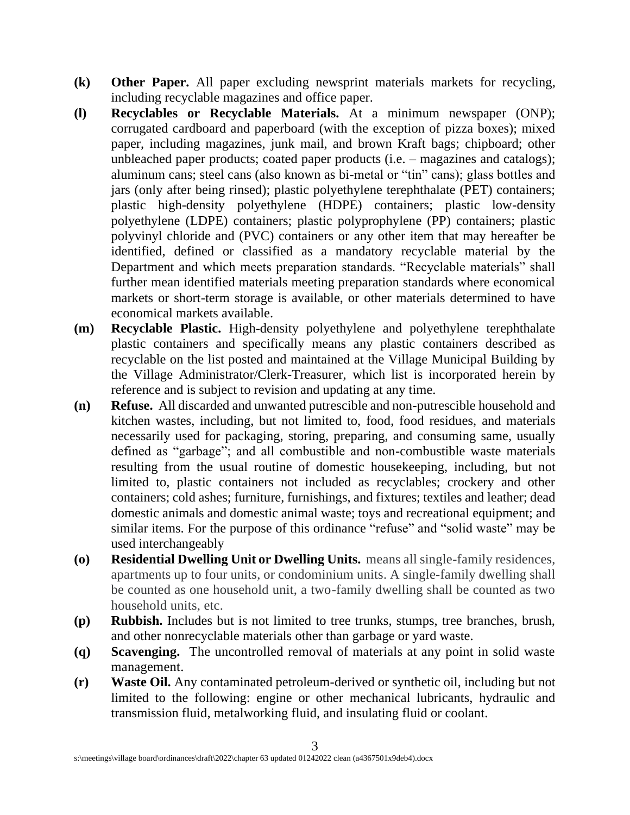- **(k) Other Paper.** All paper excluding newsprint materials markets for recycling, including recyclable magazines and office paper.
- **(l) Recyclables or Recyclable Materials.** At a minimum newspaper (ONP); corrugated cardboard and paperboard (with the exception of pizza boxes); mixed paper, including magazines, junk mail, and brown Kraft bags; chipboard; other unbleached paper products; coated paper products (i.e. – magazines and catalogs); aluminum cans; steel cans (also known as bi-metal or "tin" cans); glass bottles and jars (only after being rinsed); plastic polyethylene terephthalate (PET) containers; plastic high-density polyethylene (HDPE) containers; plastic low-density polyethylene (LDPE) containers; plastic polyprophylene (PP) containers; plastic polyvinyl chloride and (PVC) containers or any other item that may hereafter be identified, defined or classified as a mandatory recyclable material by the Department and which meets preparation standards. "Recyclable materials" shall further mean identified materials meeting preparation standards where economical markets or short-term storage is available, or other materials determined to have economical markets available.
- **(m) Recyclable Plastic.** High-density polyethylene and polyethylene terephthalate plastic containers and specifically means any plastic containers described as recyclable on the list posted and maintained at the Village Municipal Building by the Village Administrator/Clerk-Treasurer, which list is incorporated herein by reference and is subject to revision and updating at any time.
- **(n) Refuse.** All discarded and unwanted putrescible and non-putrescible household and kitchen wastes, including, but not limited to, food, food residues, and materials necessarily used for packaging, storing, preparing, and consuming same, usually defined as "garbage"; and all combustible and non-combustible waste materials resulting from the usual routine of domestic housekeeping, including, but not limited to, plastic containers not included as recyclables; crockery and other containers; cold ashes; furniture, furnishings, and fixtures; textiles and leather; dead domestic animals and domestic animal waste; toys and recreational equipment; and similar items. For the purpose of this ordinance "refuse" and "solid waste" may be used interchangeably
- **(o) Residential Dwelling Unit or Dwelling Units.** means all single-family residences, apartments up to four units, or condominium units. A single-family dwelling shall be counted as one household unit, a two-family dwelling shall be counted as two household units, etc.
- **(p) Rubbish.** Includes but is not limited to tree trunks, stumps, tree branches, brush, and other nonrecyclable materials other than garbage or yard waste.
- **(q) Scavenging.** The uncontrolled removal of materials at any point in solid waste management.
- **(r) Waste Oil.** Any contaminated petroleum-derived or synthetic oil, including but not limited to the following: engine or other mechanical lubricants, hydraulic and transmission fluid, metalworking fluid, and insulating fluid or coolant.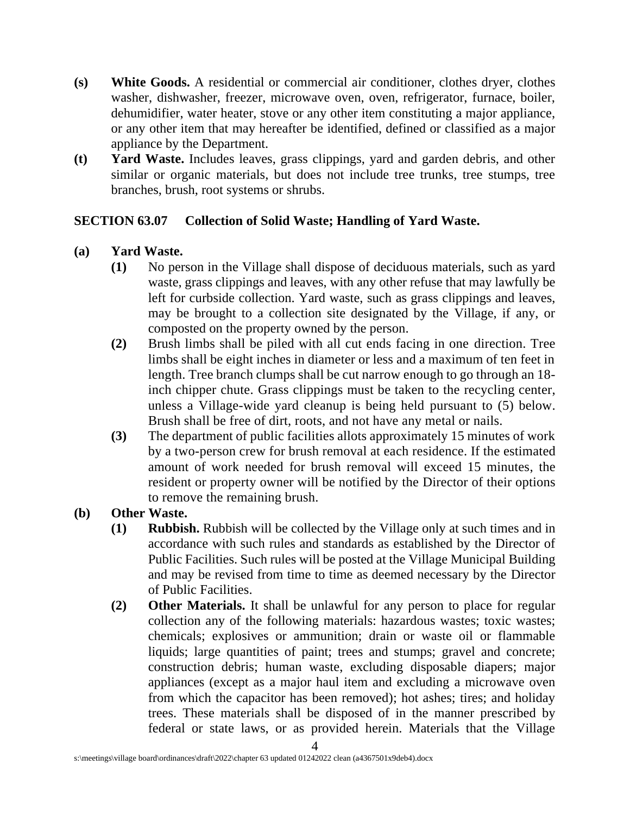- **(s) White Goods.** A residential or commercial air conditioner, clothes dryer, clothes washer, dishwasher, freezer, microwave oven, oven, refrigerator, furnace, boiler, dehumidifier, water heater, stove or any other item constituting a major appliance, or any other item that may hereafter be identified, defined or classified as a major appliance by the Department.
- **(t) Yard Waste.** Includes leaves, grass clippings, yard and garden debris, and other similar or organic materials, but does not include tree trunks, tree stumps, tree branches, brush, root systems or shrubs.

### **SECTION 63.07 Collection of Solid Waste; Handling of Yard Waste.**

- **(a) Yard Waste.**
	- **(1)** No person in the Village shall dispose of deciduous materials, such as yard waste, grass clippings and leaves, with any other refuse that may lawfully be left for curbside collection. Yard waste, such as grass clippings and leaves, may be brought to a collection site designated by the Village, if any, or composted on the property owned by the person.
	- **(2)** Brush limbs shall be piled with all cut ends facing in one direction. Tree limbs shall be eight inches in diameter or less and a maximum of ten feet in length. Tree branch clumps shall be cut narrow enough to go through an 18 inch chipper chute. Grass clippings must be taken to the recycling center, unless a Village-wide yard cleanup is being held pursuant to (5) below. Brush shall be free of dirt, roots, and not have any metal or nails.
	- **(3)** The department of public facilities allots approximately 15 minutes of work by a two-person crew for brush removal at each residence. If the estimated amount of work needed for brush removal will exceed 15 minutes, the resident or property owner will be notified by the Director of their options to remove the remaining brush.

# **(b) Other Waste.**

- **(1) Rubbish.** Rubbish will be collected by the Village only at such times and in accordance with such rules and standards as established by the Director of Public Facilities. Such rules will be posted at the Village Municipal Building and may be revised from time to time as deemed necessary by the Director of Public Facilities.
- **(2) Other Materials.** It shall be unlawful for any person to place for regular collection any of the following materials: hazardous wastes; toxic wastes; chemicals; explosives or ammunition; drain or waste oil or flammable liquids; large quantities of paint; trees and stumps; gravel and concrete; construction debris; human waste, excluding disposable diapers; major appliances (except as a major haul item and excluding a microwave oven from which the capacitor has been removed); hot ashes; tires; and holiday trees. These materials shall be disposed of in the manner prescribed by federal or state laws, or as provided herein. Materials that the Village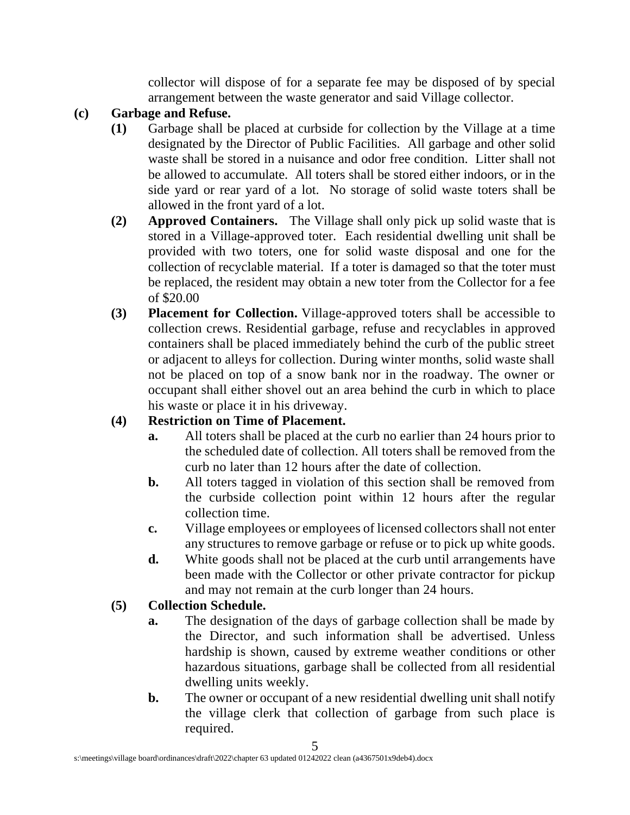collector will dispose of for a separate fee may be disposed of by special arrangement between the waste generator and said Village collector.

# **(c) Garbage and Refuse.**

- **(1)** Garbage shall be placed at curbside for collection by the Village at a time designated by the Director of Public Facilities. All garbage and other solid waste shall be stored in a nuisance and odor free condition. Litter shall not be allowed to accumulate. All toters shall be stored either indoors, or in the side yard or rear yard of a lot. No storage of solid waste toters shall be allowed in the front yard of a lot.
- **(2) Approved Containers.** The Village shall only pick up solid waste that is stored in a Village-approved toter. Each residential dwelling unit shall be provided with two toters, one for solid waste disposal and one for the collection of recyclable material. If a toter is damaged so that the toter must be replaced, the resident may obtain a new toter from the Collector for a fee of \$20.00
- **(3) Placement for Collection.** Village-approved toters shall be accessible to collection crews. Residential garbage, refuse and recyclables in approved containers shall be placed immediately behind the curb of the public street or adjacent to alleys for collection. During winter months, solid waste shall not be placed on top of a snow bank nor in the roadway. The owner or occupant shall either shovel out an area behind the curb in which to place his waste or place it in his driveway.

# **(4) Restriction on Time of Placement.**

- **a.** All toters shall be placed at the curb no earlier than 24 hours prior to the scheduled date of collection. All toters shall be removed from the curb no later than 12 hours after the date of collection.
- **b.** All toters tagged in violation of this section shall be removed from the curbside collection point within 12 hours after the regular collection time.
- **c.** Village employees or employees of licensed collectors shall not enter any structures to remove garbage or refuse or to pick up white goods.
- **d.** White goods shall not be placed at the curb until arrangements have been made with the Collector or other private contractor for pickup and may not remain at the curb longer than 24 hours.

# **(5) Collection Schedule.**

- **a.** The designation of the days of garbage collection shall be made by the Director, and such information shall be advertised. Unless hardship is shown, caused by extreme weather conditions or other hazardous situations, garbage shall be collected from all residential dwelling units weekly.
- **b.** The owner or occupant of a new residential dwelling unit shall notify the village clerk that collection of garbage from such place is required.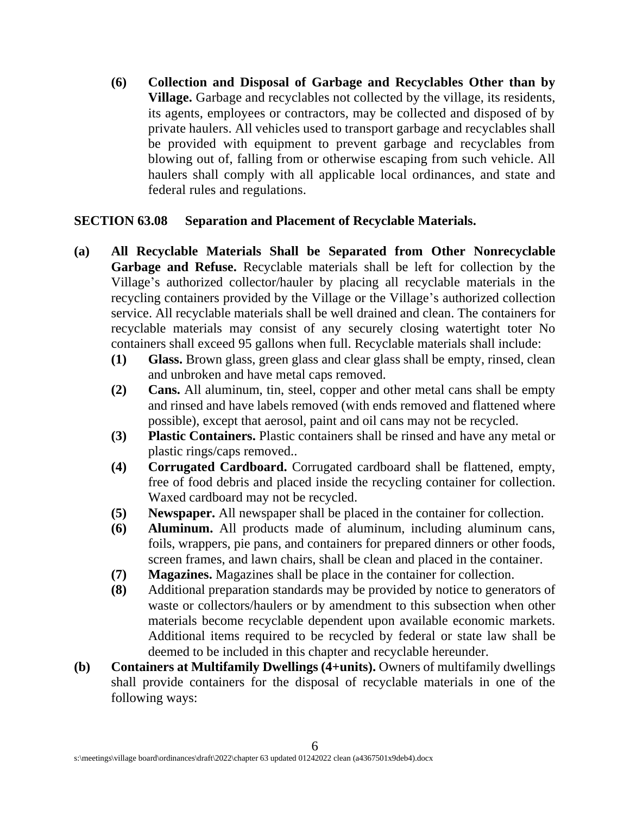**(6) Collection and Disposal of Garbage and Recyclables Other than by Village.** Garbage and recyclables not collected by the village, its residents, its agents, employees or contractors, may be collected and disposed of by private haulers. All vehicles used to transport garbage and recyclables shall be provided with equipment to prevent garbage and recyclables from blowing out of, falling from or otherwise escaping from such vehicle. All haulers shall comply with all applicable local ordinances, and state and federal rules and regulations.

### **SECTION 63.08 Separation and Placement of Recyclable Materials.**

- **(a) All Recyclable Materials Shall be Separated from Other Nonrecyclable Garbage and Refuse.** Recyclable materials shall be left for collection by the Village's authorized collector/hauler by placing all recyclable materials in the recycling containers provided by the Village or the Village's authorized collection service. All recyclable materials shall be well drained and clean. The containers for recyclable materials may consist of any securely closing watertight toter No containers shall exceed 95 gallons when full. Recyclable materials shall include:
	- **(1) Glass.** Brown glass, green glass and clear glass shall be empty, rinsed, clean and unbroken and have metal caps removed.
	- **(2) Cans.** All aluminum, tin, steel, copper and other metal cans shall be empty and rinsed and have labels removed (with ends removed and flattened where possible), except that aerosol, paint and oil cans may not be recycled.
	- **(3) Plastic Containers.** Plastic containers shall be rinsed and have any metal or plastic rings/caps removed..
	- **(4) Corrugated Cardboard.** Corrugated cardboard shall be flattened, empty, free of food debris and placed inside the recycling container for collection. Waxed cardboard may not be recycled.
	- **(5) Newspaper.** All newspaper shall be placed in the container for collection.
	- **(6) Aluminum.** All products made of aluminum, including aluminum cans, foils, wrappers, pie pans, and containers for prepared dinners or other foods, screen frames, and lawn chairs, shall be clean and placed in the container.
	- **(7) Magazines.** Magazines shall be place in the container for collection.
	- **(8)** Additional preparation standards may be provided by notice to generators of waste or collectors/haulers or by amendment to this subsection when other materials become recyclable dependent upon available economic markets. Additional items required to be recycled by federal or state law shall be deemed to be included in this chapter and recyclable hereunder.
- **(b) Containers at Multifamily Dwellings (4+units).** Owners of multifamily dwellings shall provide containers for the disposal of recyclable materials in one of the following ways: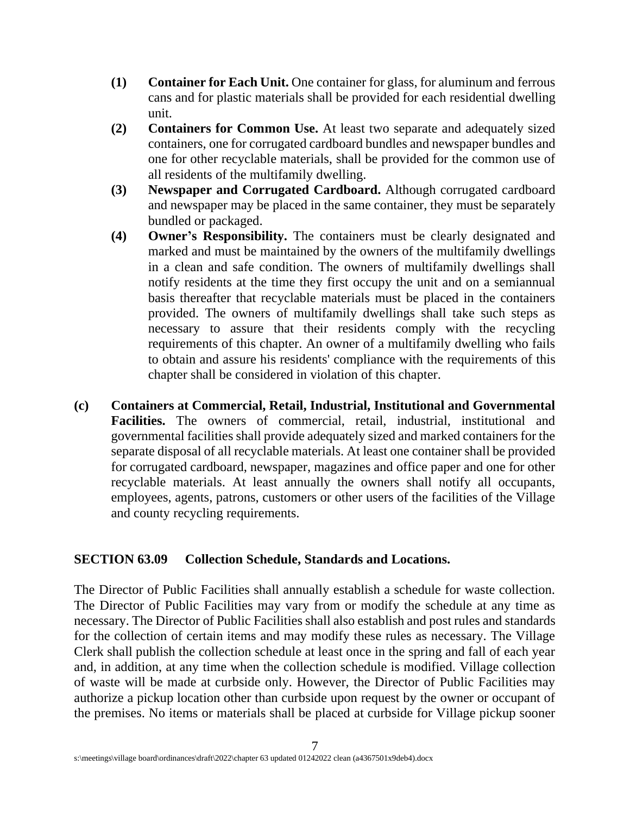- **(1) Container for Each Unit.** One container for glass, for aluminum and ferrous cans and for plastic materials shall be provided for each residential dwelling unit.
- **(2) Containers for Common Use.** At least two separate and adequately sized containers, one for corrugated cardboard bundles and newspaper bundles and one for other recyclable materials, shall be provided for the common use of all residents of the multifamily dwelling.
- **(3) Newspaper and Corrugated Cardboard.** Although corrugated cardboard and newspaper may be placed in the same container, they must be separately bundled or packaged.
- **(4) Owner's Responsibility.** The containers must be clearly designated and marked and must be maintained by the owners of the multifamily dwellings in a clean and safe condition. The owners of multifamily dwellings shall notify residents at the time they first occupy the unit and on a semiannual basis thereafter that recyclable materials must be placed in the containers provided. The owners of multifamily dwellings shall take such steps as necessary to assure that their residents comply with the recycling requirements of this chapter. An owner of a multifamily dwelling who fails to obtain and assure his residents' compliance with the requirements of this chapter shall be considered in violation of this chapter.
- **(c) Containers at Commercial, Retail, Industrial, Institutional and Governmental Facilities.** The owners of commercial, retail, industrial, institutional and governmental facilities shall provide adequately sized and marked containers for the separate disposal of all recyclable materials. At least one container shall be provided for corrugated cardboard, newspaper, magazines and office paper and one for other recyclable materials. At least annually the owners shall notify all occupants, employees, agents, patrons, customers or other users of the facilities of the Village and county recycling requirements.

### **SECTION 63.09 Collection Schedule, Standards and Locations.**

The Director of Public Facilities shall annually establish a schedule for waste collection. The Director of Public Facilities may vary from or modify the schedule at any time as necessary. The Director of Public Facilities shall also establish and post rules and standards for the collection of certain items and may modify these rules as necessary. The Village Clerk shall publish the collection schedule at least once in the spring and fall of each year and, in addition, at any time when the collection schedule is modified. Village collection of waste will be made at curbside only. However, the Director of Public Facilities may authorize a pickup location other than curbside upon request by the owner or occupant of the premises. No items or materials shall be placed at curbside for Village pickup sooner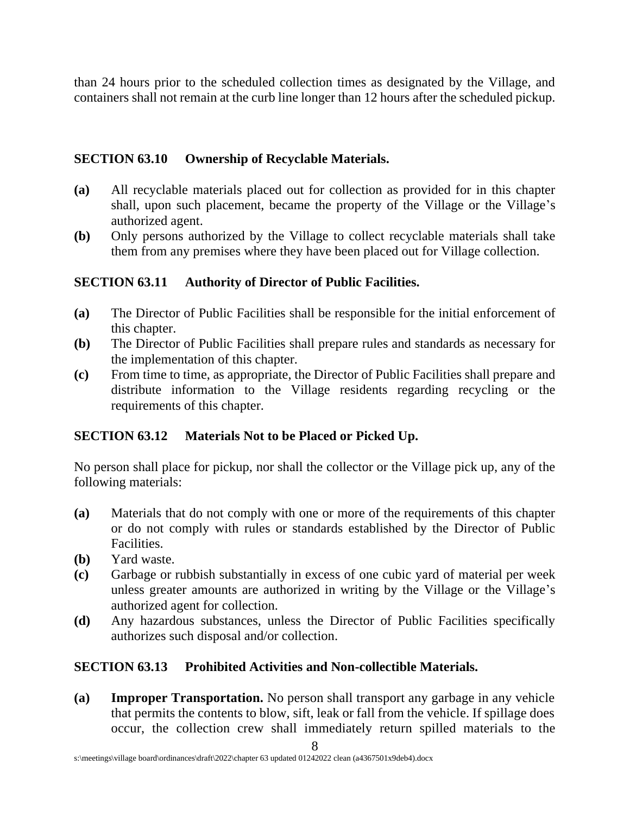than 24 hours prior to the scheduled collection times as designated by the Village, and containers shall not remain at the curb line longer than 12 hours after the scheduled pickup.

### **SECTION 63.10 Ownership of Recyclable Materials.**

- **(a)** All recyclable materials placed out for collection as provided for in this chapter shall, upon such placement, became the property of the Village or the Village's authorized agent.
- **(b)** Only persons authorized by the Village to collect recyclable materials shall take them from any premises where they have been placed out for Village collection.

### **SECTION 63.11 Authority of Director of Public Facilities.**

- **(a)** The Director of Public Facilities shall be responsible for the initial enforcement of this chapter.
- **(b)** The Director of Public Facilities shall prepare rules and standards as necessary for the implementation of this chapter.
- **(c)** From time to time, as appropriate, the Director of Public Facilities shall prepare and distribute information to the Village residents regarding recycling or the requirements of this chapter.

### **SECTION 63.12 Materials Not to be Placed or Picked Up.**

No person shall place for pickup, nor shall the collector or the Village pick up, any of the following materials:

- **(a)** Materials that do not comply with one or more of the requirements of this chapter or do not comply with rules or standards established by the Director of Public Facilities.
- **(b)** Yard waste.
- **(c)** Garbage or rubbish substantially in excess of one cubic yard of material per week unless greater amounts are authorized in writing by the Village or the Village's authorized agent for collection.
- **(d)** Any hazardous substances, unless the Director of Public Facilities specifically authorizes such disposal and/or collection.

### **SECTION 63.13 Prohibited Activities and Non-collectible Materials.**

**(a) Improper Transportation.** No person shall transport any garbage in any vehicle that permits the contents to blow, sift, leak or fall from the vehicle. If spillage does occur, the collection crew shall immediately return spilled materials to the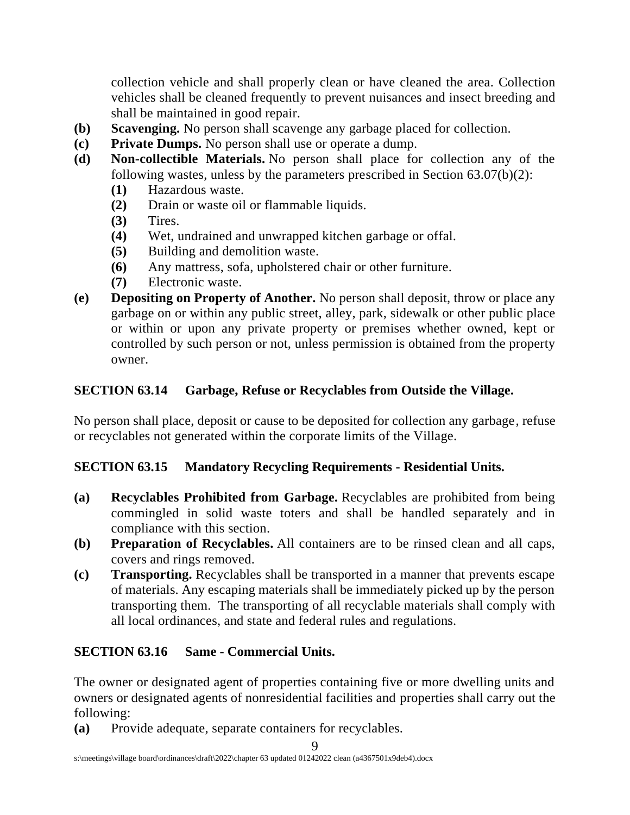collection vehicle and shall properly clean or have cleaned the area. Collection vehicles shall be cleaned frequently to prevent nuisances and insect breeding and shall be maintained in good repair.

- **(b) Scavenging.** No person shall scavenge any garbage placed for collection.
- **(c) Private Dumps.** No person shall use or operate a dump.
- **(d) Non-collectible Materials.** No person shall place for collection any of the following wastes, unless by the parameters prescribed in Section 63.07(b)(2):
	- **(1)** Hazardous waste.
	- **(2)** Drain or waste oil or flammable liquids.
	- **(3)** Tires.
	- **(4)** Wet, undrained and unwrapped kitchen garbage or offal.
	- **(5)** Building and demolition waste.
	- **(6)** Any mattress, sofa, upholstered chair or other furniture.
	- **(7)** Electronic waste.
- **(e) Depositing on Property of Another.** No person shall deposit, throw or place any garbage on or within any public street, alley, park, sidewalk or other public place or within or upon any private property or premises whether owned, kept or controlled by such person or not, unless permission is obtained from the property owner.

### **SECTION 63.14 Garbage, Refuse or Recyclables from Outside the Village.**

No person shall place, deposit or cause to be deposited for collection any garbage, refuse or recyclables not generated within the corporate limits of the Village.

### **SECTION 63.15 Mandatory Recycling Requirements - Residential Units.**

- **(a) Recyclables Prohibited from Garbage.** Recyclables are prohibited from being commingled in solid waste toters and shall be handled separately and in compliance with this section.
- **(b) Preparation of Recyclables.** All containers are to be rinsed clean and all caps, covers and rings removed.
- **(c) Transporting.** Recyclables shall be transported in a manner that prevents escape of materials. Any escaping materials shall be immediately picked up by the person transporting them. The transporting of all recyclable materials shall comply with all local ordinances, and state and federal rules and regulations.

# **SECTION 63.16 Same - Commercial Units.**

The owner or designated agent of properties containing five or more dwelling units and owners or designated agents of nonresidential facilities and properties shall carry out the following:

**(a)** Provide adequate, separate containers for recyclables.